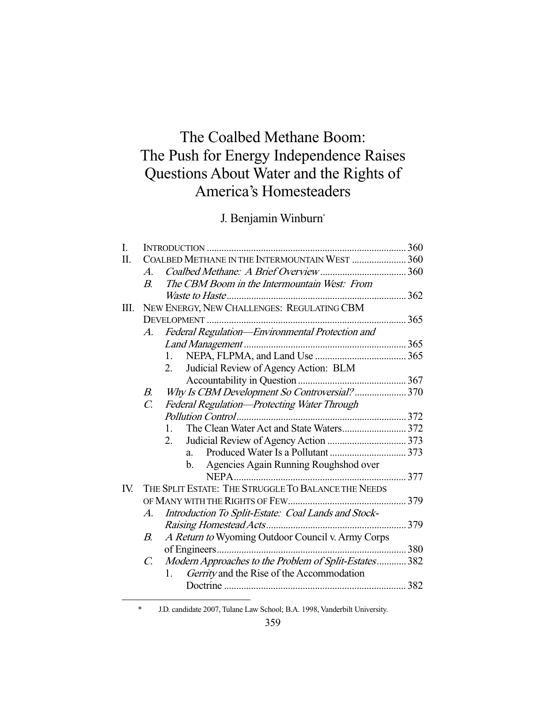# The Coalbed Methane Boom: The Push for Energy Independence Raises Questions About Water and the Rights of America's Homesteaders

J. Benjamin Winburn\*

| I.  |                  |                                                       |     |
|-----|------------------|-------------------------------------------------------|-----|
| Π.  |                  | COALBED METHANE IN THE INTERMOUNTAIN WEST  360        |     |
|     | $\mathcal{A}$    |                                                       |     |
|     | $\boldsymbol{B}$ | The CBM Boom in the Intermountain West: From          |     |
|     |                  |                                                       |     |
| Ш.  |                  | NEW ENERGY, NEW CHALLENGES: REGULATING CBM            |     |
|     |                  |                                                       |     |
|     | $A_{\cdot}$      | Federal Regulation-Environmental Protection and       |     |
|     |                  |                                                       |     |
|     |                  | 1.                                                    |     |
|     |                  | Judicial Review of Agency Action: BLM<br>2.           |     |
|     |                  |                                                       |     |
|     | B.               | Why Is CBM Development So Controversial?370           |     |
|     | $\mathcal{C}$    | Federal Regulation-Protecting Water Through           |     |
|     |                  |                                                       |     |
|     |                  | $1_{-}$                                               |     |
|     |                  | 2.                                                    |     |
|     |                  | $a_{-}$                                               |     |
|     |                  | Agencies Again Running Roughshod over<br>b.           |     |
|     |                  |                                                       |     |
| IV. |                  | THE SPLIT ESTATE: THE STRUGGLE TO BALANCE THE NEEDS   |     |
|     |                  |                                                       |     |
|     | A.               | Introduction To Split-Estate: Coal Lands and Stock-   |     |
|     |                  |                                                       | 379 |
|     | В.               | A Return to Wyoming Outdoor Council v. Army Corps     |     |
|     |                  |                                                       |     |
|     | $\mathcal{C}$    | Modern Approaches to the Problem of Split-Estates 382 |     |
|     |                  | Gerrity and the Rise of the Accommodation<br>1.       |     |
|     |                  |                                                       |     |

\* J.D. candidate 2007, Tulane Law School; B.A. 1998, Vanderbilt University.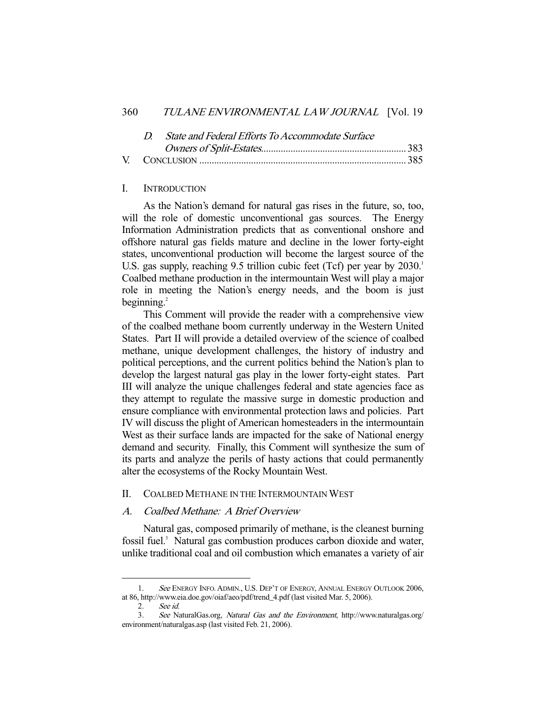#### 360 TULANE ENVIRONMENTAL LAW JOURNAL [Vol. 19

|  | D. State and Federal Efforts To Accommodate Surface |  |
|--|-----------------------------------------------------|--|
|  |                                                     |  |
|  |                                                     |  |

#### I. INTRODUCTION

 As the Nation's demand for natural gas rises in the future, so, too, will the role of domestic unconventional gas sources. The Energy Information Administration predicts that as conventional onshore and offshore natural gas fields mature and decline in the lower forty-eight states, unconventional production will become the largest source of the U.S. gas supply, reaching 9.5 trillion cubic feet (Tcf) per year by 2030.<sup>1</sup> Coalbed methane production in the intermountain West will play a major role in meeting the Nation's energy needs, and the boom is just beginning. $^{2}$ 

 This Comment will provide the reader with a comprehensive view of the coalbed methane boom currently underway in the Western United States. Part II will provide a detailed overview of the science of coalbed methane, unique development challenges, the history of industry and political perceptions, and the current politics behind the Nation's plan to develop the largest natural gas play in the lower forty-eight states. Part III will analyze the unique challenges federal and state agencies face as they attempt to regulate the massive surge in domestic production and ensure compliance with environmental protection laws and policies. Part IV will discuss the plight of American homesteaders in the intermountain West as their surface lands are impacted for the sake of National energy demand and security. Finally, this Comment will synthesize the sum of its parts and analyze the perils of hasty actions that could permanently alter the ecosystems of the Rocky Mountain West.

#### II. COALBED METHANE IN THE INTERMOUNTAIN WEST

## A. Coalbed Methane: A Brief Overview

 Natural gas, composed primarily of methane, is the cleanest burning fossil fuel.<sup>3</sup> Natural gas combustion produces carbon dioxide and water, unlike traditional coal and oil combustion which emanates a variety of air

<sup>1.</sup> See ENERGY INFO. ADMIN., U.S. DEP'T OF ENERGY, ANNUAL ENERGY OUTLOOK 2006, at 86, http://www.eia.doe.gov/oiaf/aeo/pdf/trend\_4.pdf (last visited Mar. 5, 2006).

 <sup>2.</sup> See id.

 <sup>3.</sup> See NaturalGas.org, Natural Gas and the Environment, http://www.naturalgas.org/ environment/naturalgas.asp (last visited Feb. 21, 2006).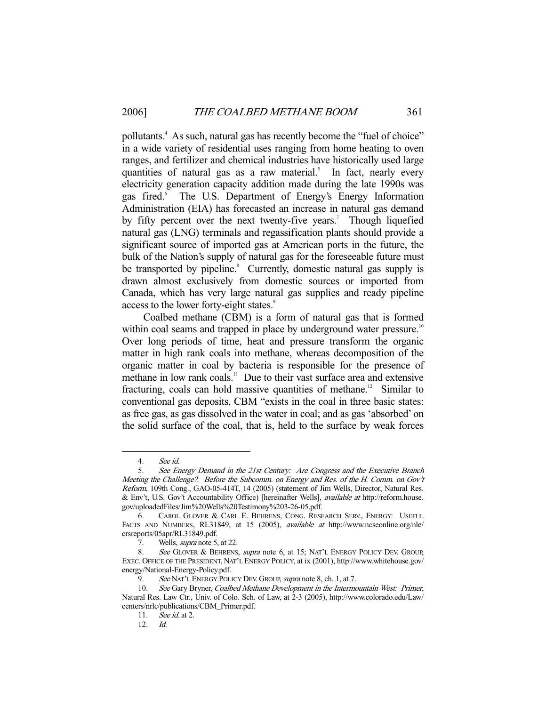pollutants.<sup>4</sup> As such, natural gas has recently become the "fuel of choice" in a wide variety of residential uses ranging from home heating to oven ranges, and fertilizer and chemical industries have historically used large quantities of natural gas as a raw material.<sup>5</sup> In fact, nearly every electricity generation capacity addition made during the late 1990s was gas fired.<sup>6</sup> The U.S. Department of Energy's Energy Information Administration (EIA) has forecasted an increase in natural gas demand by fifty percent over the next twenty-five years.<sup>7</sup> Though liquefied natural gas (LNG) terminals and regassification plants should provide a significant source of imported gas at American ports in the future, the bulk of the Nation's supply of natural gas for the foreseeable future must be transported by pipeline.<sup>8</sup> Currently, domestic natural gas supply is drawn almost exclusively from domestic sources or imported from Canada, which has very large natural gas supplies and ready pipeline access to the lower forty-eight states.<sup>9</sup>

 Coalbed methane (CBM) is a form of natural gas that is formed within coal seams and trapped in place by underground water pressure.<sup>10</sup> Over long periods of time, heat and pressure transform the organic matter in high rank coals into methane, whereas decomposition of the organic matter in coal by bacteria is responsible for the presence of methane in low rank coals.<sup>11</sup> Due to their vast surface area and extensive fracturing, coals can hold massive quantities of methane.<sup>12</sup> Similar to conventional gas deposits, CBM "exists in the coal in three basic states: as free gas, as gas dissolved in the water in coal; and as gas 'absorbed' on the solid surface of the coal, that is, held to the surface by weak forces

 <sup>4.</sup> See id.

 <sup>5.</sup> See Energy Demand in the 21st Century: Are Congress and the Executive Branch Meeting the Challenge?: Before the Subcomm. on Energy and Res. of the H. Comm. on Gov't Reform, 109th Cong., GAO-05-414T, 14 (2005) (statement of Jim Wells, Director, Natural Res. & Env't, U.S. Gov't Accountability Office) [hereinafter Wells], available at http://reform.house. gov/uploadedFiles/Jim%20Wells%20Testimony%203-26-05.pdf.

 <sup>6.</sup> CAROL GLOVER & CARL E. BEHRENS, CONG. RESEARCH SERV., ENERGY: USEFUL FACTS AND NUMBERS, RL31849, at 15 (2005), available at http://www.ncseonline.org/nle/ crsreports/05apr/RL31849.pdf.

 <sup>7.</sup> Wells, supra note 5, at 22.

<sup>8.</sup> See GLOVER & BEHRENS, supra note 6, at 15; NAT'L ENERGY POLICY DEV. GROUP, EXEC. OFFICE OF THE PRESIDENT, NAT'L ENERGY POLICY, at ix (2001), http://www.whitehouse.gov/ energy/National-Energy-Policy.pdf.

<sup>9.</sup> See NAT'L ENERGY POLICY DEV. GROUP, supra note 8, ch. 1, at 7.

<sup>10.</sup> See Gary Bryner, Coalbed Methane Development in the Intermountain West: Primer, Natural Res. Law Ctr., Univ. of Colo. Sch. of Law, at 2-3 (2005), http://www.colorado.edu/Law/ centers/nrlc/publications/CBM\_Primer.pdf.

 <sup>11.</sup> See id. at 2.

 <sup>12.</sup> Id.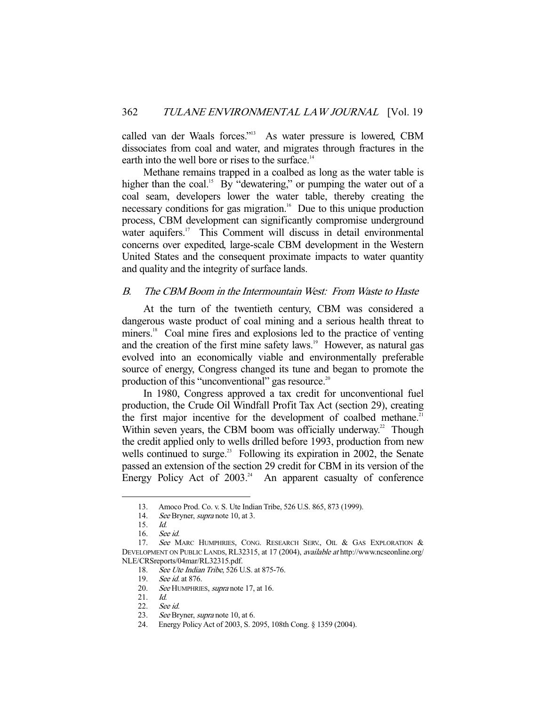called van der Waals forces."13 As water pressure is lowered, CBM dissociates from coal and water, and migrates through fractures in the earth into the well bore or rises to the surface.<sup>14</sup>

 Methane remains trapped in a coalbed as long as the water table is higher than the coal.<sup>15</sup> By "dewatering," or pumping the water out of a coal seam, developers lower the water table, thereby creating the necessary conditions for gas migration.<sup>16</sup> Due to this unique production process, CBM development can significantly compromise underground water aquifers.<sup>17</sup> This Comment will discuss in detail environmental concerns over expedited, large-scale CBM development in the Western United States and the consequent proximate impacts to water quantity and quality and the integrity of surface lands.

## B. The CBM Boom in the Intermountain West: From Waste to Haste

 At the turn of the twentieth century, CBM was considered a dangerous waste product of coal mining and a serious health threat to miners.<sup>18</sup> Coal mine fires and explosions led to the practice of venting and the creation of the first mine safety laws.<sup>19</sup> However, as natural gas evolved into an economically viable and environmentally preferable source of energy, Congress changed its tune and began to promote the production of this "unconventional" gas resource.<sup>20</sup>

 In 1980, Congress approved a tax credit for unconventional fuel production, the Crude Oil Windfall Profit Tax Act (section 29), creating the first major incentive for the development of coalbed methane.<sup>21</sup> Within seven years, the CBM boom was officially underway.<sup>22</sup> Though the credit applied only to wells drilled before 1993, production from new wells continued to surge.<sup>23</sup> Following its expiration in 2002, the Senate passed an extension of the section 29 credit for CBM in its version of the Energy Policy Act of  $2003<sup>24</sup>$  An apparent casualty of conference

 <sup>13.</sup> Amoco Prod. Co. v. S. Ute Indian Tribe, 526 U.S. 865, 873 (1999).

<sup>14.</sup> See Bryner, supra note 10, at 3.

 <sup>15.</sup> Id.

 <sup>16.</sup> See id.

<sup>17.</sup> See MARC HUMPHRIES, CONG. RESEARCH SERV., OIL & GAS EXPLORATION & DEVELOPMENT ON PUBLIC LANDS, RL32315, at 17 (2004), available at http://www.ncseonline.org/ NLE/CRSreports/04mar/RL32315.pdf.

<sup>18.</sup> See Ute Indian Tribe, 526 U.S. at 875-76.

<sup>19.</sup> See id. at 876.

<sup>20.</sup> See HUMPHRIES, *supra* note 17, at 16.

 <sup>21.</sup> Id.

 <sup>22.</sup> See id.

<sup>23.</sup> See Bryner, supra note 10, at 6.

 <sup>24.</sup> Energy Policy Act of 2003, S. 2095, 108th Cong. § 1359 (2004).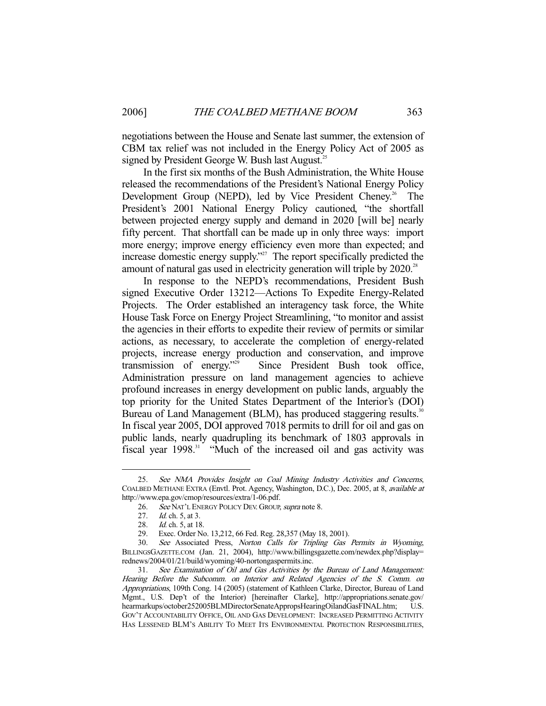negotiations between the House and Senate last summer, the extension of CBM tax relief was not included in the Energy Policy Act of 2005 as signed by President George W. Bush last August.<sup>25</sup>

 In the first six months of the Bush Administration, the White House released the recommendations of the President's National Energy Policy Development Group (NEPD), led by Vice President Cheney.<sup>26</sup> The President's 2001 National Energy Policy cautioned, "the shortfall between projected energy supply and demand in 2020 [will be] nearly fifty percent. That shortfall can be made up in only three ways: import more energy; improve energy efficiency even more than expected; and increase domestic energy supply.<sup>327</sup> The report specifically predicted the amount of natural gas used in electricity generation will triple by 2020.<sup>28</sup>

 In response to the NEPD's recommendations, President Bush signed Executive Order 13212—Actions To Expedite Energy-Related Projects. The Order established an interagency task force, the White House Task Force on Energy Project Streamlining, "to monitor and assist the agencies in their efforts to expedite their review of permits or similar actions, as necessary, to accelerate the completion of energy-related projects, increase energy production and conservation, and improve transmission of energy."29 Since President Bush took office, Administration pressure on land management agencies to achieve profound increases in energy development on public lands, arguably the top priority for the United States Department of the Interior's (DOI) Bureau of Land Management (BLM), has produced staggering results.<sup>30</sup> In fiscal year 2005, DOI approved 7018 permits to drill for oil and gas on public lands, nearly quadrupling its benchmark of 1803 approvals in fiscal year  $1998$ .<sup>31</sup> "Much of the increased oil and gas activity was

 <sup>25.</sup> See NMA Provides Insight on Coal Mining Industry Activities and Concerns, COALBED METHANE EXTRA (Envtl. Prot. Agency, Washington, D.C.), Dec. 2005, at 8, available at http://www.epa.gov/cmop/resources/extra/1-06.pdf.

<sup>26.</sup> See NAT'L ENERGY POLICY DEV. GROUP, supra note 8.

<sup>27.</sup> *Id.* ch. 5, at 3.

<sup>28.</sup> *Id.* ch. 5, at 18.

 <sup>29.</sup> Exec. Order No. 13,212, 66 Fed. Reg. 28,357 (May 18, 2001).

 <sup>30.</sup> See Associated Press, Norton Calls for Tripling Gas Permits in Wyoming, BILLINGSGAZETTE.COM (Jan. 21, 2004), http://www.billingsgazette.com/newdex.php?display= rednews/2004/01/21/build/wyoming/40-nortongaspermits.inc.

 <sup>31.</sup> See Examination of Oil and Gas Activities by the Bureau of Land Management: Hearing Before the Subcomm. on Interior and Related Agencies of the S. Comm. on Appropriations, 109th Cong. 14 (2005) (statement of Kathleen Clarke, Director, Bureau of Land Mgmt., U.S. Dep't of the Interior) [hereinafter Clarke], http://appropriations.senate.gov/ hearmarkups/october252005BLMDirectorSenateAppropsHearingOilandGasFINAL.htm; U.S. GOV'T ACCOUNTABILITY OFFICE, OIL AND GAS DEVELOPMENT: INCREASED PERMITTING ACTIVITY HAS LESSENED BLM'S ABILITY TO MEET ITS ENVIRONMENTAL PROTECTION RESPONSIBILITIES,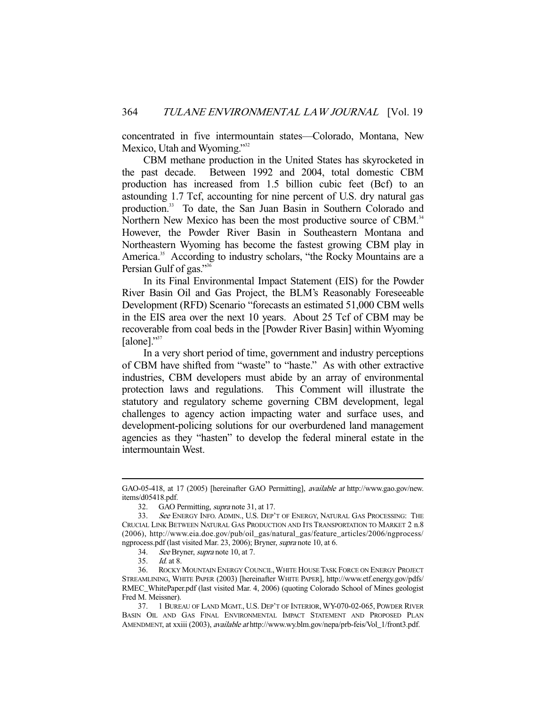concentrated in five intermountain states—Colorado, Montana, New Mexico, Utah and Wyoming."<sup>32</sup>

 CBM methane production in the United States has skyrocketed in the past decade. Between 1992 and 2004, total domestic CBM production has increased from 1.5 billion cubic feet (Bcf) to an astounding 1.7 Tcf, accounting for nine percent of U.S. dry natural gas production.33 To date, the San Juan Basin in Southern Colorado and Northern New Mexico has been the most productive source of CBM.<sup>34</sup> However, the Powder River Basin in Southeastern Montana and Northeastern Wyoming has become the fastest growing CBM play in America.<sup>35</sup> According to industry scholars, "the Rocky Mountains are a Persian Gulf of gas."36

 In its Final Environmental Impact Statement (EIS) for the Powder River Basin Oil and Gas Project, the BLM's Reasonably Foreseeable Development (RFD) Scenario "forecasts an estimated 51,000 CBM wells in the EIS area over the next 10 years. About 25 Tcf of CBM may be recoverable from coal beds in the [Powder River Basin] within Wyoming [alone]."<sup>37</sup>

 In a very short period of time, government and industry perceptions of CBM have shifted from "waste" to "haste." As with other extractive industries, CBM developers must abide by an array of environmental protection laws and regulations. This Comment will illustrate the statutory and regulatory scheme governing CBM development, legal challenges to agency action impacting water and surface uses, and development-policing solutions for our overburdened land management agencies as they "hasten" to develop the federal mineral estate in the intermountain West.

GAO-05-418, at 17 (2005) [hereinafter GAO Permitting], available at http://www.gao.gov/new. items/d05418.pdf.

<sup>32.</sup> GAO Permitting, *supra* note 31, at 17.

 <sup>33.</sup> See ENERGY INFO. ADMIN., U.S. DEP'T OF ENERGY, NATURAL GAS PROCESSING: THE CRUCIAL LINK BETWEEN NATURAL GAS PRODUCTION AND ITS TRANSPORTATION TO MARKET 2 n.8 (2006), http://www.eia.doe.gov/pub/oil\_gas/natural\_gas/feature\_articles/2006/ngprocess/ ngprocess.pdf (last visited Mar. 23, 2006); Bryner, supra note 10, at 6.

 <sup>34.</sup> See Bryner, supra note 10, at 7.

 <sup>35.</sup> Id. at 8.

 <sup>36.</sup> ROCKY MOUNTAIN ENERGY COUNCIL,WHITE HOUSE TASK FORCE ON ENERGY PROJECT STREAMLINING, WHITE PAPER (2003) [hereinafter WHITE PAPER], http://www.etf.energy.gov/pdfs/ RMEC\_WhitePaper.pdf (last visited Mar. 4, 2006) (quoting Colorado School of Mines geologist Fred M. Meissner).

 <sup>37. 1</sup> BUREAU OF LAND MGMT., U.S. DEP'T OF INTERIOR, WY-070-02-065, POWDER RIVER BASIN OIL AND GAS FINAL ENVIRONMENTAL IMPACT STATEMENT AND PROPOSED PLAN AMENDMENT, at xxiii (2003), available at http://www.wy.blm.gov/nepa/prb-feis/Vol\_1/front3.pdf.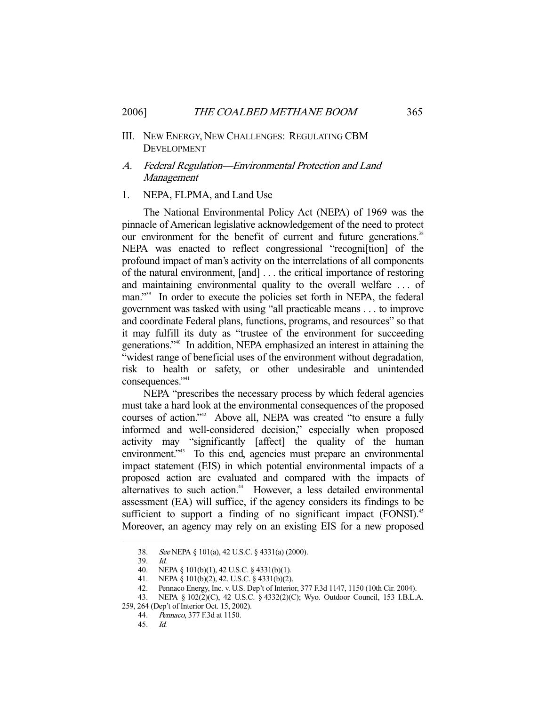### III. NEW ENERGY, NEW CHALLENGES: REGULATING CBM DEVELOPMENT

## A. Federal Regulation—Environmental Protection and Land Management

#### 1. NEPA, FLPMA, and Land Use

 The National Environmental Policy Act (NEPA) of 1969 was the pinnacle of American legislative acknowledgement of the need to protect our environment for the benefit of current and future generations.<sup>38</sup> NEPA was enacted to reflect congressional "recogni[tion] of the profound impact of man's activity on the interrelations of all components of the natural environment, [and] . . . the critical importance of restoring and maintaining environmental quality to the overall welfare . . . of man."<sup>39</sup> In order to execute the policies set forth in NEPA, the federal government was tasked with using "all practicable means . . . to improve and coordinate Federal plans, functions, programs, and resources" so that it may fulfill its duty as "trustee of the environment for succeeding generations."40 In addition, NEPA emphasized an interest in attaining the "widest range of beneficial uses of the environment without degradation, risk to health or safety, or other undesirable and unintended consequences."<sup>41</sup>

 NEPA "prescribes the necessary process by which federal agencies must take a hard look at the environmental consequences of the proposed courses of action."42 Above all, NEPA was created "to ensure a fully informed and well-considered decision," especially when proposed activity may "significantly [affect] the quality of the human environment.<sup>743</sup> To this end, agencies must prepare an environmental impact statement (EIS) in which potential environmental impacts of a proposed action are evaluated and compared with the impacts of alternatives to such action.<sup>44</sup> However, a less detailed environmental assessment (EA) will suffice, if the agency considers its findings to be sufficient to support a finding of no significant impact (FONSI).<sup>45</sup> Moreover, an agency may rely on an existing EIS for a new proposed

 <sup>38.</sup> See NEPA § 101(a), 42 U.S.C. § 4331(a) (2000).

 <sup>39.</sup> Id.

 <sup>40.</sup> NEPA § 101(b)(1), 42 U.S.C. § 4331(b)(1).

 <sup>41.</sup> NEPA § 101(b)(2), 42. U.S.C. § 4331(b)(2).

 <sup>42.</sup> Pennaco Energy, Inc. v. U.S. Dep't of Interior, 377 F.3d 1147, 1150 (10th Cir. 2004).

 <sup>43.</sup> NEPA § 102(2)(C), 42 U.S.C. § 4332(2)(C); Wyo. Outdoor Council, 153 I.B.L.A.

<sup>259, 264 (</sup>Dep't of Interior Oct. 15, 2002). 44. Pennaco, 377 F.3d at 1150.

 <sup>45.</sup> Id.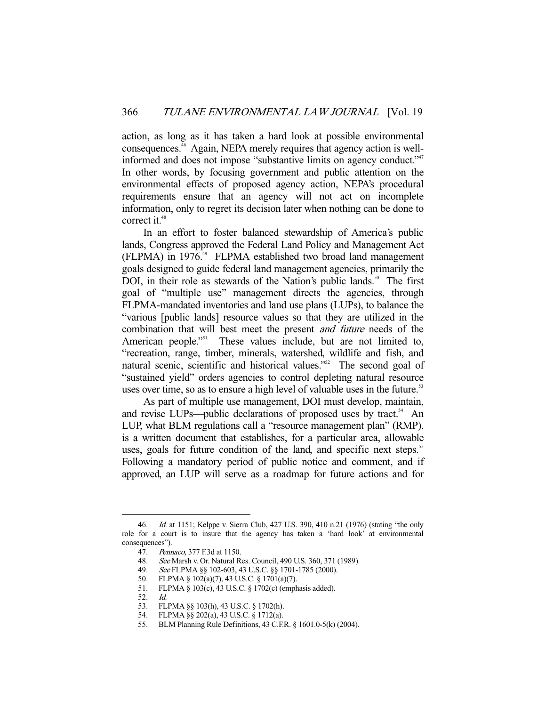action, as long as it has taken a hard look at possible environmental consequences.46 Again, NEPA merely requires that agency action is wellinformed and does not impose "substantive limits on agency conduct."<sup>47</sup> In other words, by focusing government and public attention on the environmental effects of proposed agency action, NEPA's procedural requirements ensure that an agency will not act on incomplete information, only to regret its decision later when nothing can be done to correct it.<sup>48</sup>

 In an effort to foster balanced stewardship of America's public lands, Congress approved the Federal Land Policy and Management Act (FLPMA) in 1976.49 FLPMA established two broad land management goals designed to guide federal land management agencies, primarily the DOI, in their role as stewards of the Nation's public lands.<sup>50</sup> The first goal of "multiple use" management directs the agencies, through FLPMA-mandated inventories and land use plans (LUPs), to balance the "various [public lands] resource values so that they are utilized in the combination that will best meet the present and future needs of the American people."<sup>51</sup> These values include, but are not limited to, "recreation, range, timber, minerals, watershed, wildlife and fish, and natural scenic, scientific and historical values."<sup>52</sup> The second goal of "sustained yield" orders agencies to control depleting natural resource uses over time, so as to ensure a high level of valuable uses in the future.<sup>53</sup>

 As part of multiple use management, DOI must develop, maintain, and revise LUPs—public declarations of proposed uses by tract.<sup>54</sup> An LUP, what BLM regulations call a "resource management plan" (RMP), is a written document that establishes, for a particular area, allowable uses, goals for future condition of the land, and specific next steps.<sup>55</sup> Following a mandatory period of public notice and comment, and if approved, an LUP will serve as a roadmap for future actions and for

<sup>46.</sup> *Id.* at 1151; Kelppe v. Sierra Club, 427 U.S. 390, 410 n.21 (1976) (stating "the only role for a court is to insure that the agency has taken a 'hard look' at environmental consequences").

 <sup>47.</sup> Pennaco, 377 F.3d at 1150.

 <sup>48.</sup> See Marsh v. Or. Natural Res. Council, 490 U.S. 360, 371 (1989).

 <sup>49.</sup> See FLPMA §§ 102-603, 43 U.S.C. §§ 1701-1785 (2000).

 <sup>50.</sup> FLPMA § 102(a)(7), 43 U.S.C. § 1701(a)(7).

 <sup>51.</sup> FLPMA § 103(c), 43 U.S.C. § 1702(c) (emphasis added).

 <sup>52.</sup> Id.

 <sup>53.</sup> FLPMA §§ 103(h), 43 U.S.C. § 1702(h).

 <sup>54.</sup> FLPMA §§ 202(a), 43 U.S.C. § 1712(a).

 <sup>55.</sup> BLM Planning Rule Definitions, 43 C.F.R. § 1601.0-5(k) (2004).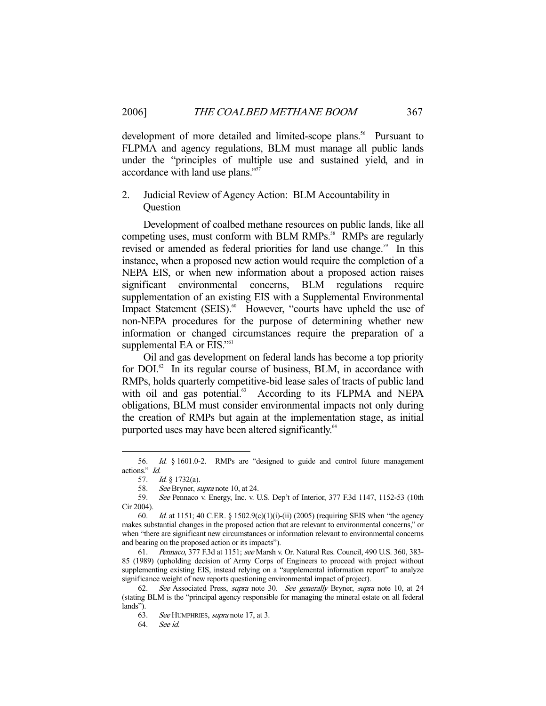development of more detailed and limited-scope plans.<sup>56</sup> Pursuant to FLPMA and agency regulations, BLM must manage all public lands under the "principles of multiple use and sustained yield, and in accordance with land use plans."57

## 2. Judicial Review of Agency Action: BLM Accountability in **Question**

 Development of coalbed methane resources on public lands, like all competing uses, must conform with BLM RMPs.<sup>58</sup> RMPs are regularly revised or amended as federal priorities for land use change.<sup>59</sup> In this instance, when a proposed new action would require the completion of a NEPA EIS, or when new information about a proposed action raises significant environmental concerns, BLM regulations require supplementation of an existing EIS with a Supplemental Environmental Impact Statement (SEIS).<sup>60</sup> However, "courts have upheld the use of non-NEPA procedures for the purpose of determining whether new information or changed circumstances require the preparation of a supplemental EA or EIS."<sup>61</sup>

 Oil and gas development on federal lands has become a top priority for  $DOL<sup>62</sup>$  In its regular course of business, BLM, in accordance with RMPs, holds quarterly competitive-bid lease sales of tracts of public land with oil and gas potential.<sup>63</sup> According to its FLPMA and NEPA obligations, BLM must consider environmental impacts not only during the creation of RMPs but again at the implementation stage, as initial purported uses may have been altered significantly.<sup>64</sup>

 <sup>56.</sup> Id. § 1601.0-2. RMPs are "designed to guide and control future management actions." Id.

 <sup>57.</sup> Id. § 1732(a).

<sup>58.</sup> See Bryner, *supra* note 10, at 24.<br>59. See Pennaco v. Energy, Inc. v. I

See Pennaco v. Energy, Inc. v. U.S. Dep't of Interior, 377 F.3d 1147, 1152-53 (10th Cir 2004).

 <sup>60.</sup> Id. at 1151; 40 C.F.R. § 1502.9(c)(1)(i)-(ii) (2005) (requiring SEIS when "the agency makes substantial changes in the proposed action that are relevant to environmental concerns," or when "there are significant new circumstances or information relevant to environmental concerns and bearing on the proposed action or its impacts").

 <sup>61.</sup> Pennaco, 377 F.3d at 1151; see Marsh v. Or. Natural Res. Council, 490 U.S. 360, 383- 85 (1989) (upholding decision of Army Corps of Engineers to proceed with project without supplementing existing EIS, instead relying on a "supplemental information report" to analyze significance weight of new reports questioning environmental impact of project).

<sup>62.</sup> See Associated Press, *supra* note 30. See generally Bryner, *supra* note 10, at 24 (stating BLM is the "principal agency responsible for managing the mineral estate on all federal lands").

 <sup>63.</sup> See HUMPHRIES, supra note 17, at 3.

 <sup>64.</sup> See id.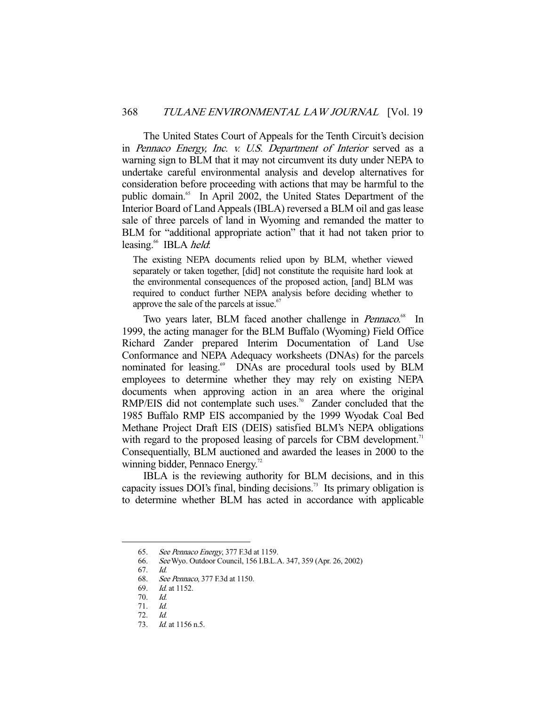The United States Court of Appeals for the Tenth Circuit's decision in Pennaco Energy, Inc. v. U.S. Department of Interior served as a warning sign to BLM that it may not circumvent its duty under NEPA to undertake careful environmental analysis and develop alternatives for consideration before proceeding with actions that may be harmful to the public domain.<sup>65</sup> In April 2002, the United States Department of the Interior Board of Land Appeals (IBLA) reversed a BLM oil and gas lease sale of three parcels of land in Wyoming and remanded the matter to BLM for "additional appropriate action" that it had not taken prior to leasing.<sup>66</sup> IBLA *held*:

The existing NEPA documents relied upon by BLM, whether viewed separately or taken together, [did] not constitute the requisite hard look at the environmental consequences of the proposed action, [and] BLM was required to conduct further NEPA analysis before deciding whether to approve the sale of the parcels at issue. $67$ 

Two years later, BLM faced another challenge in *Pennaco*.<sup>68</sup> In 1999, the acting manager for the BLM Buffalo (Wyoming) Field Office Richard Zander prepared Interim Documentation of Land Use Conformance and NEPA Adequacy worksheets (DNAs) for the parcels nominated for leasing.<sup>69</sup> DNAs are procedural tools used by BLM employees to determine whether they may rely on existing NEPA documents when approving action in an area where the original RMP/EIS did not contemplate such uses.<sup>70</sup> Zander concluded that the 1985 Buffalo RMP EIS accompanied by the 1999 Wyodak Coal Bed Methane Project Draft EIS (DEIS) satisfied BLM's NEPA obligations with regard to the proposed leasing of parcels for CBM development. $11$ Consequentially, BLM auctioned and awarded the leases in 2000 to the winning bidder, Pennaco Energy.<sup>72</sup>

 IBLA is the reviewing authority for BLM decisions, and in this capacity issues DOI's final, binding decisions.<sup>73</sup> Its primary obligation is to determine whether BLM has acted in accordance with applicable

<sup>65.</sup> See Pennaco Energy, 377 F.3d at 1159.<br>66. See Wyo. Outdoor Council, 156 I.B.L.

 <sup>66.</sup> See Wyo. Outdoor Council, 156 I.B.L.A. 347, 359 (Apr. 26, 2002)

 <sup>67.</sup> Id.

 <sup>68.</sup> See Pennaco, 377 F.3d at 1150.

<sup>69.</sup> *Id.* at 1152.

 <sup>70.</sup> Id.

 <sup>71.</sup> Id.

 <sup>72.</sup> Id.

<sup>73.</sup> *Id.* at 1156 n.5.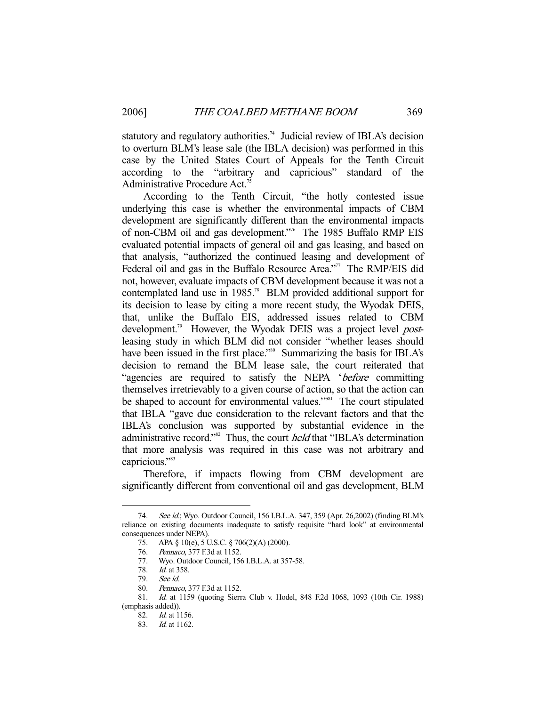statutory and regulatory authorities.<sup>74</sup> Judicial review of IBLA's decision to overturn BLM's lease sale (the IBLA decision) was performed in this case by the United States Court of Appeals for the Tenth Circuit according to the "arbitrary and capricious" standard of the Administrative Procedure Act.<sup>75</sup>

 According to the Tenth Circuit, "the hotly contested issue underlying this case is whether the environmental impacts of CBM development are significantly different than the environmental impacts of non-CBM oil and gas development."76 The 1985 Buffalo RMP EIS evaluated potential impacts of general oil and gas leasing, and based on that analysis, "authorized the continued leasing and development of Federal oil and gas in the Buffalo Resource Area."<sup>77</sup> The RMP/EIS did not, however, evaluate impacts of CBM development because it was not a contemplated land use in 1985.<sup>78</sup> BLM provided additional support for its decision to lease by citing a more recent study, the Wyodak DEIS, that, unlike the Buffalo EIS, addressed issues related to CBM development.<sup>79</sup> However, the Wyodak DEIS was a project level *post*leasing study in which BLM did not consider "whether leases should have been issued in the first place."<sup>80</sup> Summarizing the basis for IBLA's decision to remand the BLM lease sale, the court reiterated that "agencies are required to satisfy the NEPA 'before committing themselves irretrievably to a given course of action, so that the action can be shaped to account for environmental values."<sup>81</sup> The court stipulated that IBLA "gave due consideration to the relevant factors and that the IBLA's conclusion was supported by substantial evidence in the administrative record."<sup>82</sup> Thus, the court *held* that "IBLA's determination that more analysis was required in this case was not arbitrary and capricious."<sup>83</sup>

 Therefore, if impacts flowing from CBM development are significantly different from conventional oil and gas development, BLM

<sup>74.</sup> See id.; Wyo. Outdoor Council, 156 I.B.L.A. 347, 359 (Apr. 26,2002) (finding BLM's reliance on existing documents inadequate to satisfy requisite "hard look" at environmental consequences under NEPA).

 <sup>75.</sup> APA § 10(e), 5 U.S.C. § 706(2)(A) (2000).

 <sup>76.</sup> Pennaco, 377 F.3d at 1152.

 <sup>77.</sup> Wyo. Outdoor Council, 156 I.B.L.A. at 357-58.

 <sup>78.</sup> Id. at 358.

 <sup>79.</sup> See id.

 <sup>80.</sup> Pennaco, 377 F.3d at 1152.

 <sup>81.</sup> Id. at 1159 (quoting Sierra Club v. Hodel, 848 F.2d 1068, 1093 (10th Cir. 1988) (emphasis added)).

 <sup>82.</sup> Id. at 1156.

 <sup>83.</sup> Id. at 1162.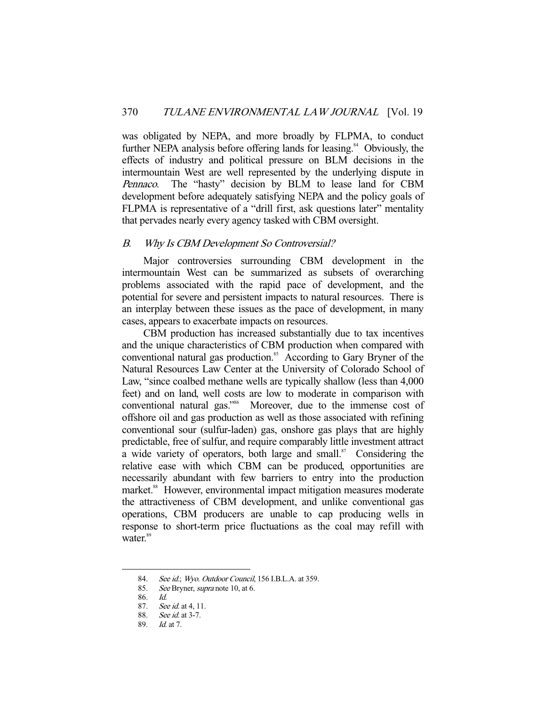was obligated by NEPA, and more broadly by FLPMA, to conduct further NEPA analysis before offering lands for leasing.<sup>84</sup> Obviously, the effects of industry and political pressure on BLM decisions in the intermountain West are well represented by the underlying dispute in Pennaco. The "hasty" decision by BLM to lease land for CBM development before adequately satisfying NEPA and the policy goals of FLPMA is representative of a "drill first, ask questions later" mentality that pervades nearly every agency tasked with CBM oversight.

## B. Why Is CBM Development So Controversial?

Major controversies surrounding CBM development in the intermountain West can be summarized as subsets of overarching problems associated with the rapid pace of development, and the potential for severe and persistent impacts to natural resources. There is an interplay between these issues as the pace of development, in many cases, appears to exacerbate impacts on resources.

 CBM production has increased substantially due to tax incentives and the unique characteristics of CBM production when compared with conventional natural gas production.<sup>85</sup> According to Gary Bryner of the Natural Resources Law Center at the University of Colorado School of Law, "since coalbed methane wells are typically shallow (less than 4,000 feet) and on land, well costs are low to moderate in comparison with conventional natural gas."<sup>86</sup> Moreover, due to the immense cost of offshore oil and gas production as well as those associated with refining conventional sour (sulfur-laden) gas, onshore gas plays that are highly predictable, free of sulfur, and require comparably little investment attract a wide variety of operators, both large and small. $87$  Considering the relative ease with which CBM can be produced, opportunities are necessarily abundant with few barriers to entry into the production market.<sup>88</sup> However, environmental impact mitigation measures moderate the attractiveness of CBM development, and unlike conventional gas operations, CBM producers are unable to cap producing wells in response to short-term price fluctuations as the coal may refill with water.<sup>89</sup>

<sup>84.</sup> See id.; Wyo. Outdoor Council, 156 I.B.L.A. at 359.

 <sup>85.</sup> See Bryner, supra note 10, at 6.

 <sup>86.</sup> Id.

 <sup>87.</sup> See id. at 4, 11.

 <sup>88.</sup> See id. at 3-7.

 <sup>89.</sup> Id. at 7.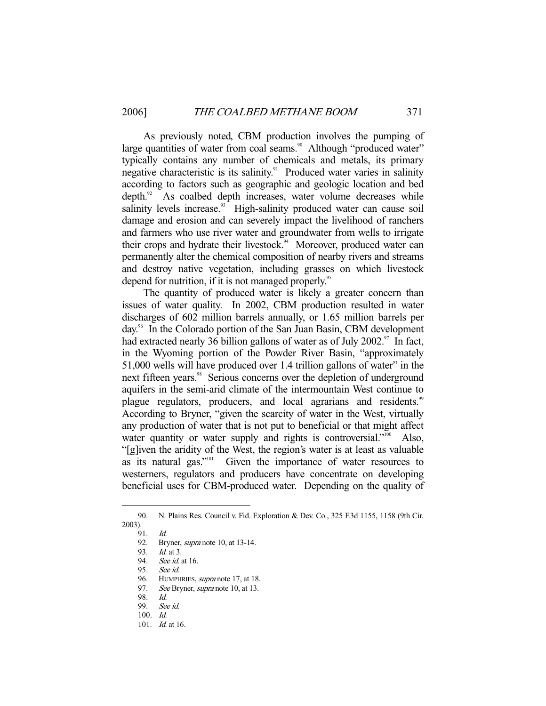As previously noted, CBM production involves the pumping of large quantities of water from coal seams.<sup>90</sup> Although "produced water" typically contains any number of chemicals and metals, its primary negative characteristic is its salinity.<sup>91</sup> Produced water varies in salinity according to factors such as geographic and geologic location and bed depth.<sup>92</sup> As coalbed depth increases, water volume decreases while salinity levels increase.<sup>93</sup> High-salinity produced water can cause soil damage and erosion and can severely impact the livelihood of ranchers and farmers who use river water and groundwater from wells to irrigate their crops and hydrate their livestock.<sup>94</sup> Moreover, produced water can permanently alter the chemical composition of nearby rivers and streams and destroy native vegetation, including grasses on which livestock depend for nutrition, if it is not managed properly.<sup>95</sup>

 The quantity of produced water is likely a greater concern than issues of water quality. In 2002, CBM production resulted in water discharges of 602 million barrels annually, or 1.65 million barrels per day.96 In the Colorado portion of the San Juan Basin, CBM development had extracted nearly 36 billion gallons of water as of July 2002. $\frac{97}{10}$  In fact, in the Wyoming portion of the Powder River Basin, "approximately 51,000 wells will have produced over 1.4 trillion gallons of water" in the next fifteen years.<sup>98</sup> Serious concerns over the depletion of underground aquifers in the semi-arid climate of the intermountain West continue to plague regulators, producers, and local agrarians and residents.<sup>99</sup> According to Bryner, "given the scarcity of water in the West, virtually any production of water that is not put to beneficial or that might affect water quantity or water supply and rights is controversial."<sup>100</sup> Also, "[g]iven the aridity of the West, the region's water is at least as valuable as its natural gas."<sup>101</sup> Given the importance of water resources to Given the importance of water resources to westerners, regulators and producers have concentrate on developing beneficial uses for CBM-produced water. Depending on the quality of

 <sup>90.</sup> N. Plains Res. Council v. Fid. Exploration & Dev. Co., 325 F.3d 1155, 1158 (9th Cir. 2003).

 <sup>91.</sup> Id.

 <sup>92.</sup> Bryner, supra note 10, at 13-14.

 <sup>93.</sup> Id. at 3.

<sup>94.</sup> See id. at 16.

 <sup>95.</sup> See id.

<sup>96.</sup> HUMPHRIES, *supra* note 17, at 18.

<sup>97.</sup> See Bryner, supra note 10, at 13.

 <sup>98.</sup> Id.

 <sup>99.</sup> See id.

 <sup>100.</sup> Id.

 <sup>101.</sup> Id. at 16.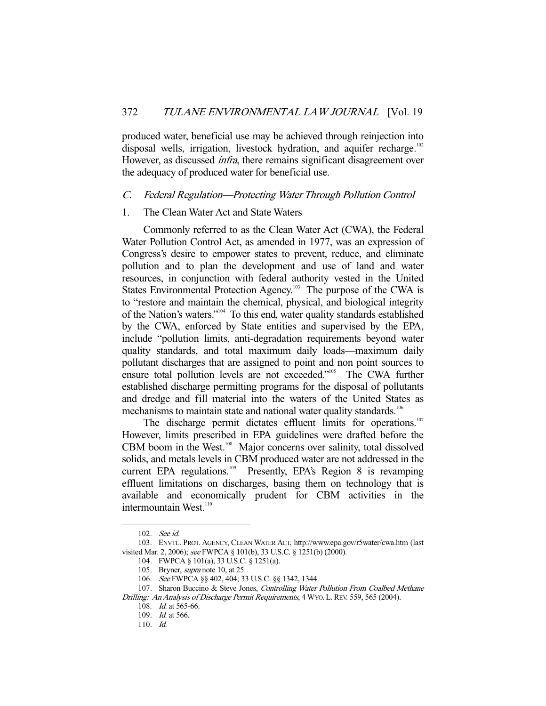produced water, beneficial use may be achieved through reinjection into disposal wells, irrigation, livestock hydration, and aquifer recharge.<sup>102</sup> However, as discussed *infra*, there remains significant disagreement over the adequacy of produced water for beneficial use.

## C. Federal Regulation—Protecting Water Through Pollution Control

#### 1. The Clean Water Act and State Waters

 Commonly referred to as the Clean Water Act (CWA), the Federal Water Pollution Control Act, as amended in 1977, was an expression of Congress's desire to empower states to prevent, reduce, and eliminate pollution and to plan the development and use of land and water resources, in conjunction with federal authority vested in the United States Environmental Protection Agency.<sup>103</sup> The purpose of the CWA is to "restore and maintain the chemical, physical, and biological integrity of the Nation's waters."104 To this end, water quality standards established by the CWA, enforced by State entities and supervised by the EPA, include "pollution limits, anti-degradation requirements beyond water quality standards, and total maximum daily loads—maximum daily pollutant discharges that are assigned to point and non point sources to ensure total pollution levels are not exceeded."<sup>105</sup> The CWA further established discharge permitting programs for the disposal of pollutants and dredge and fill material into the waters of the United States as mechanisms to maintain state and national water quality standards.<sup>106</sup>

The discharge permit dictates effluent limits for operations.<sup>107</sup> However, limits prescribed in EPA guidelines were drafted before the CBM boom in the West.<sup>108</sup> Major concerns over salinity, total dissolved solids, and metals levels in CBM produced water are not addressed in the current EPA regulations.<sup>109</sup> Presently, EPA's Region 8 is revamping effluent limitations on discharges, basing them on technology that is available and economically prudent for CBM activities in the intermountain West.<sup>110</sup>

 <sup>102.</sup> See id.

 <sup>103.</sup> ENVTL. PROT. AGENCY, CLEAN WATER ACT, http://www.epa.gov/r5water/cwa.htm (last visited Mar. 2, 2006); see FWPCA § 101(b), 33 U.S.C. § 1251(b) (2000).

 <sup>104.</sup> FWPCA § 101(a), 33 U.S.C. § 1251(a).

 <sup>105.</sup> Bryner, supra note 10, at 25.

 <sup>106.</sup> See FWPCA §§ 402, 404; 33 U.S.C. §§ 1342, 1344.

<sup>107.</sup> Sharon Buccino & Steve Jones, Controlling Water Pollution From Coalbed Methane Drilling: An Analysis of Discharge Permit Requirements, 4 WYO. L. REV. 559, 565 (2004).

 <sup>108.</sup> Id. at 565-66.

 <sup>109.</sup> Id. at 566.

 <sup>110.</sup> Id.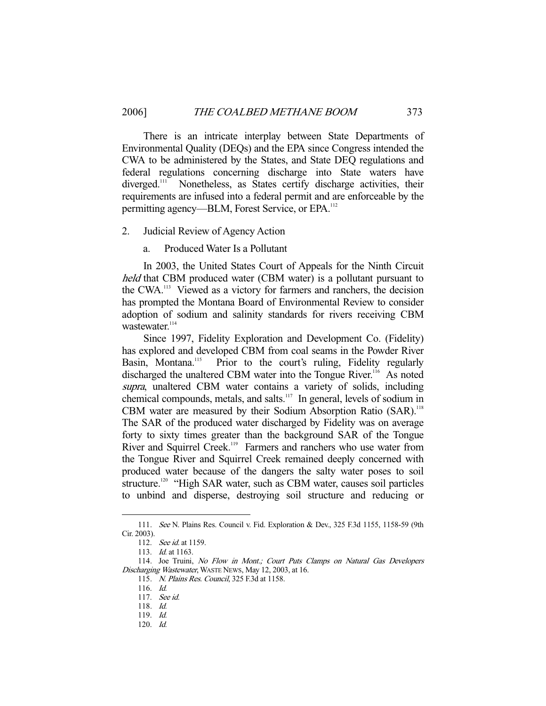There is an intricate interplay between State Departments of Environmental Quality (DEQs) and the EPA since Congress intended the CWA to be administered by the States, and State DEQ regulations and federal regulations concerning discharge into State waters have diverged.<sup>111</sup> Nonetheless, as States certify discharge activities, their requirements are infused into a federal permit and are enforceable by the permitting agency—BLM, Forest Service, or EPA.<sup>112</sup>

2. Judicial Review of Agency Action

a. Produced Water Is a Pollutant

 In 2003, the United States Court of Appeals for the Ninth Circuit held that CBM produced water (CBM water) is a pollutant pursuant to the CWA.113 Viewed as a victory for farmers and ranchers, the decision has prompted the Montana Board of Environmental Review to consider adoption of sodium and salinity standards for rivers receiving CBM wastewater.<sup>114</sup>

 Since 1997, Fidelity Exploration and Development Co. (Fidelity) has explored and developed CBM from coal seams in the Powder River<br>Basin, Montana.<sup>115</sup> Prior to the court's ruling, Fidelity regularly Prior to the court's ruling, Fidelity regularly discharged the unaltered CBM water into the Tongue River.<sup>116</sup> As noted supra, unaltered CBM water contains a variety of solids, including chemical compounds, metals, and salts.117 In general, levels of sodium in CBM water are measured by their Sodium Absorption Ratio (SAR).<sup>118</sup> The SAR of the produced water discharged by Fidelity was on average forty to sixty times greater than the background SAR of the Tongue River and Squirrel Creek.<sup>119</sup> Farmers and ranchers who use water from the Tongue River and Squirrel Creek remained deeply concerned with produced water because of the dangers the salty water poses to soil structure.<sup>120</sup> "High SAR water, such as CBM water, causes soil particles to unbind and disperse, destroying soil structure and reducing or

<sup>111.</sup> See N. Plains Res. Council v. Fid. Exploration & Dev., 325 F.3d 1155, 1158-59 (9th Cir. 2003).

 <sup>112.</sup> See id. at 1159.

 <sup>113.</sup> Id. at 1163.

<sup>114.</sup> Joe Truini, No Flow in Mont.; Court Puts Clamps on Natural Gas Developers Discharging Wastewater, WASTE NEWS, May 12, 2003, at 16.

 <sup>115.</sup> N. Plains Res. Council, 325 F.3d at 1158.

 <sup>116.</sup> Id.

 <sup>117.</sup> See id.

 <sup>118.</sup> Id.

 <sup>119.</sup> Id.

 <sup>120.</sup> Id.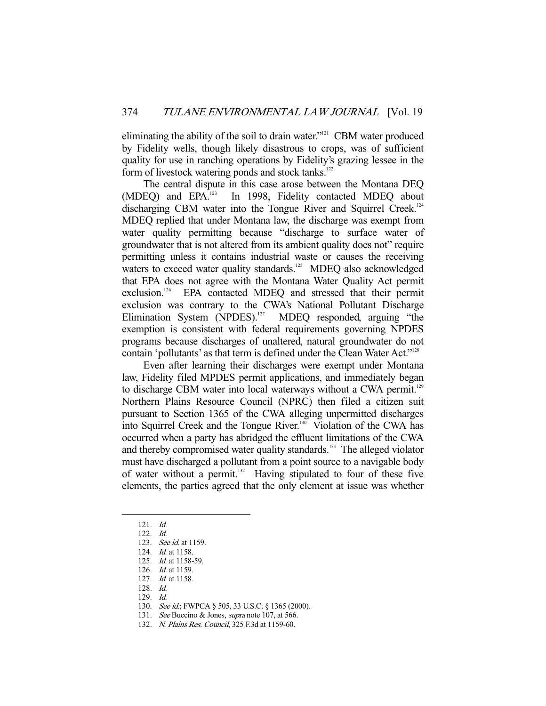eliminating the ability of the soil to drain water."121 CBM water produced by Fidelity wells, though likely disastrous to crops, was of sufficient quality for use in ranching operations by Fidelity's grazing lessee in the form of livestock watering ponds and stock tanks.<sup>122</sup>

 The central dispute in this case arose between the Montana DEQ (MDEQ) and EPA.<sup>123</sup> In 1998, Fidelity contacted MDEQ about discharging CBM water into the Tongue River and Squirrel Creek.<sup>124</sup> MDEQ replied that under Montana law, the discharge was exempt from water quality permitting because "discharge to surface water of groundwater that is not altered from its ambient quality does not" require permitting unless it contains industrial waste or causes the receiving waters to exceed water quality standards.<sup>125</sup> MDEQ also acknowledged that EPA does not agree with the Montana Water Quality Act permit exclusion.<sup>126</sup> EPA contacted MDEQ and stressed that their permit exclusion was contrary to the CWA's National Pollutant Discharge Elimination System (NPDES).<sup>127</sup> MDEO responded, arguing "the MDEO responded, arguing "the exemption is consistent with federal requirements governing NPDES programs because discharges of unaltered, natural groundwater do not contain 'pollutants' as that term is defined under the Clean Water Act."<sup>128</sup>

 Even after learning their discharges were exempt under Montana law, Fidelity filed MPDES permit applications, and immediately began to discharge CBM water into local waterways without a CWA permit.<sup>129</sup> Northern Plains Resource Council (NPRC) then filed a citizen suit pursuant to Section 1365 of the CWA alleging unpermitted discharges into Squirrel Creek and the Tongue River.<sup>130</sup> Violation of the CWA has occurred when a party has abridged the effluent limitations of the CWA and thereby compromised water quality standards.<sup>131</sup> The alleged violator must have discharged a pollutant from a point source to a navigable body of water without a permit. $132$  Having stipulated to four of these five elements, the parties agreed that the only element at issue was whether

-

126. Id. at 1159.

- 129. Id.
- 130. See id.; FWPCA § 505, 33 U.S.C. § 1365 (2000).
- 131. See Buccino & Jones, supra note 107, at 566.

 <sup>121.</sup> Id.

 <sup>122.</sup> Id.

 <sup>123.</sup> See id. at 1159.

 <sup>124.</sup> Id. at 1158.

 <sup>125.</sup> Id. at 1158-59.

 <sup>127.</sup> Id. at 1158.

 <sup>128.</sup> Id.

 <sup>132.</sup> N. Plains Res. Council, 325 F.3d at 1159-60.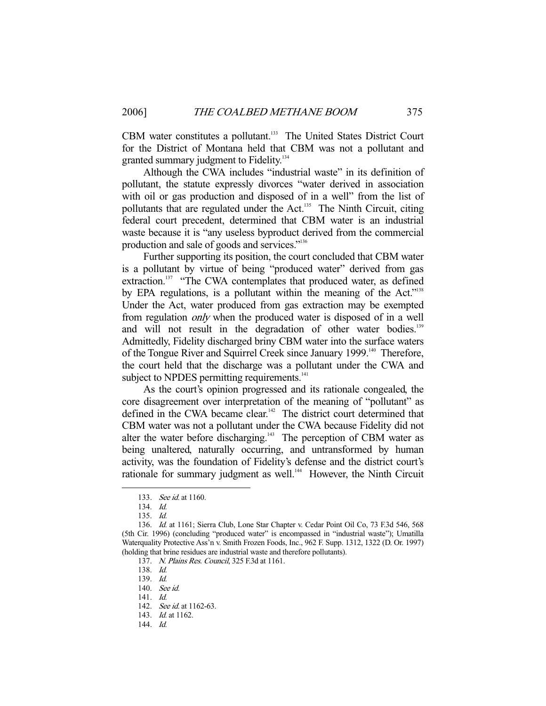CBM water constitutes a pollutant.<sup>133</sup> The United States District Court for the District of Montana held that CBM was not a pollutant and granted summary judgment to Fidelity.<sup>134</sup>

 Although the CWA includes "industrial waste" in its definition of pollutant, the statute expressly divorces "water derived in association with oil or gas production and disposed of in a well" from the list of pollutants that are regulated under the Act.<sup>135</sup> The Ninth Circuit, citing federal court precedent, determined that CBM water is an industrial waste because it is "any useless byproduct derived from the commercial production and sale of goods and services."136

 Further supporting its position, the court concluded that CBM water is a pollutant by virtue of being "produced water" derived from gas extraction.<sup>137</sup> "The CWA contemplates that produced water, as defined by EPA regulations, is a pollutant within the meaning of the Act."<sup>138</sup> Under the Act, water produced from gas extraction may be exempted from regulation only when the produced water is disposed of in a well and will not result in the degradation of other water bodies.<sup>139</sup> Admittedly, Fidelity discharged briny CBM water into the surface waters of the Tongue River and Squirrel Creek since January 1999.<sup>140</sup> Therefore, the court held that the discharge was a pollutant under the CWA and subject to NPDES permitting requirements.<sup>141</sup>

 As the court's opinion progressed and its rationale congealed, the core disagreement over interpretation of the meaning of "pollutant" as defined in the CWA became clear.<sup>142</sup> The district court determined that CBM water was not a pollutant under the CWA because Fidelity did not alter the water before discharging.<sup>143</sup> The perception of CBM water as being unaltered, naturally occurring, and untransformed by human activity, was the foundation of Fidelity's defense and the district court's rationale for summary judgment as well.<sup>144</sup> However, the Ninth Circuit

 <sup>133.</sup> See id. at 1160.

 <sup>134.</sup> Id.

 <sup>135.</sup> Id.

 <sup>136.</sup> Id. at 1161; Sierra Club, Lone Star Chapter v. Cedar Point Oil Co, 73 F.3d 546, 568 (5th Cir. 1996) (concluding "produced water" is encompassed in "industrial waste"); Umatilla Waterquality Protective Ass'n v. Smith Frozen Foods, Inc., 962 F. Supp. 1312, 1322 (D. Or. 1997) (holding that brine residues are industrial waste and therefore pollutants).

 <sup>137.</sup> N. Plains Res. Council, 325 F.3d at 1161.

 <sup>138.</sup> Id.

 <sup>139.</sup> Id.

 <sup>140.</sup> See id.

 <sup>141.</sup> Id.

<sup>142.</sup> *See id.* at 1162-63.

<sup>143.</sup> *Id.* at 1162.

 <sup>144.</sup> Id.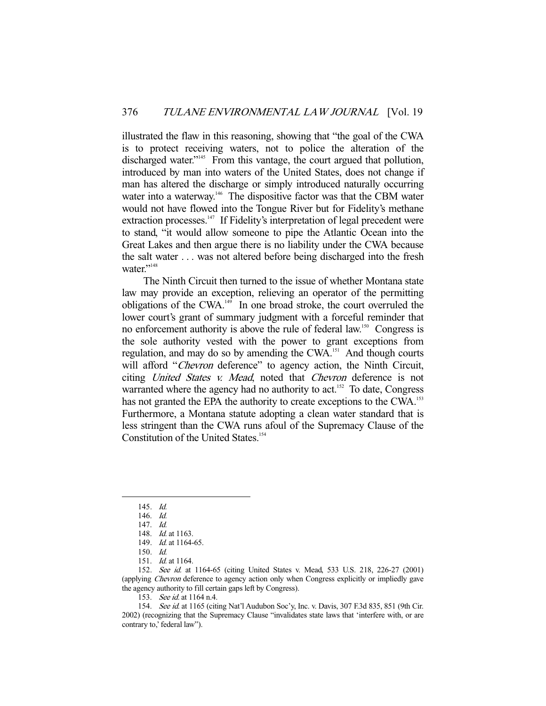illustrated the flaw in this reasoning, showing that "the goal of the CWA is to protect receiving waters, not to police the alteration of the discharged water."<sup>145</sup> From this vantage, the court argued that pollution, introduced by man into waters of the United States, does not change if man has altered the discharge or simply introduced naturally occurring water into a waterway.<sup>146</sup> The dispositive factor was that the CBM water would not have flowed into the Tongue River but for Fidelity's methane extraction processes.<sup>147</sup> If Fidelity's interpretation of legal precedent were to stand, "it would allow someone to pipe the Atlantic Ocean into the Great Lakes and then argue there is no liability under the CWA because the salt water . . . was not altered before being discharged into the fresh water."<sup>148</sup>

 The Ninth Circuit then turned to the issue of whether Montana state law may provide an exception, relieving an operator of the permitting obligations of the CWA.149 In one broad stroke, the court overruled the lower court's grant of summary judgment with a forceful reminder that no enforcement authority is above the rule of federal law.<sup>150</sup> Congress is the sole authority vested with the power to grant exceptions from regulation, and may do so by amending the CWA.151 And though courts will afford "*Chevron* deference" to agency action, the Ninth Circuit, citing United States v. Mead, noted that Chevron deference is not warranted where the agency had no authority to act.<sup>152</sup> To date, Congress has not granted the EPA the authority to create exceptions to the CWA.<sup>153</sup> Furthermore, a Montana statute adopting a clean water standard that is less stringent than the CWA runs afoul of the Supremacy Clause of the Constitution of the United States.<sup>154</sup>

-

152. See id. at 1164-65 (citing United States v. Mead, 533 U.S. 218, 226-27 (2001) (applying Chevron deference to agency action only when Congress explicitly or impliedly gave the agency authority to fill certain gaps left by Congress).

153. See id. at 1164 n.4.

154. See id. at 1165 (citing Nat'l Audubon Soc'y, Inc. v. Davis, 307 F.3d 835, 851 (9th Cir. 2002) (recognizing that the Supremacy Clause "invalidates state laws that 'interfere with, or are contrary to,' federal law").

 <sup>145.</sup> Id.

 <sup>146.</sup> Id.

 <sup>147.</sup> Id.

<sup>148.</sup> *Id.* at 1163.

<sup>149.</sup> *Id.* at 1164-65.

 <sup>150.</sup> Id.

 <sup>151.</sup> Id. at 1164.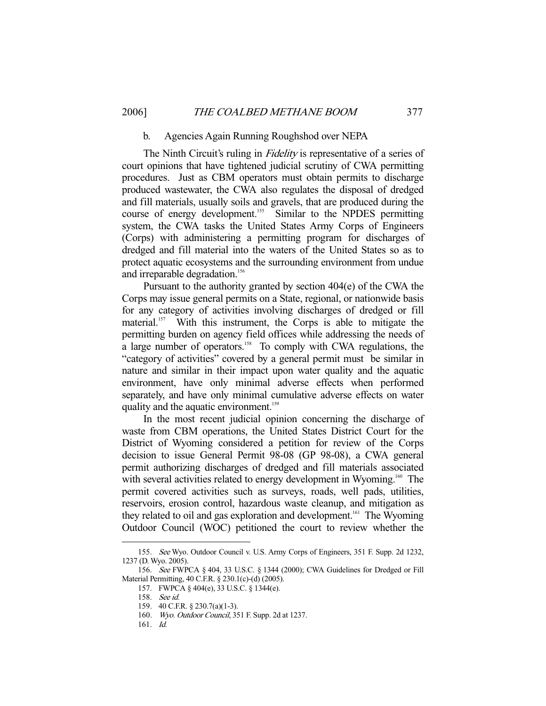#### b. Agencies Again Running Roughshod over NEPA

The Ninth Circuit's ruling in *Fidelity* is representative of a series of court opinions that have tightened judicial scrutiny of CWA permitting procedures. Just as CBM operators must obtain permits to discharge produced wastewater, the CWA also regulates the disposal of dredged and fill materials, usually soils and gravels, that are produced during the course of energy development.<sup>155</sup> Similar to the NPDES permitting system, the CWA tasks the United States Army Corps of Engineers (Corps) with administering a permitting program for discharges of dredged and fill material into the waters of the United States so as to protect aquatic ecosystems and the surrounding environment from undue and irreparable degradation.<sup>156</sup>

 Pursuant to the authority granted by section 404(e) of the CWA the Corps may issue general permits on a State, regional, or nationwide basis for any category of activities involving discharges of dredged or fill material.<sup>157</sup> With this instrument, the Corps is able to mitigate the permitting burden on agency field offices while addressing the needs of a large number of operators.<sup>158</sup> To comply with CWA regulations, the "category of activities" covered by a general permit must be similar in nature and similar in their impact upon water quality and the aquatic environment, have only minimal adverse effects when performed separately, and have only minimal cumulative adverse effects on water quality and the aquatic environment.<sup>159</sup>

 In the most recent judicial opinion concerning the discharge of waste from CBM operations, the United States District Court for the District of Wyoming considered a petition for review of the Corps decision to issue General Permit 98-08 (GP 98-08), a CWA general permit authorizing discharges of dredged and fill materials associated with several activities related to energy development in Wyoming.<sup>160</sup> The permit covered activities such as surveys, roads, well pads, utilities, reservoirs, erosion control, hazardous waste cleanup, and mitigation as they related to oil and gas exploration and development.<sup>161</sup> The Wyoming Outdoor Council (WOC) petitioned the court to review whether the

 <sup>155.</sup> See Wyo. Outdoor Council v. U.S. Army Corps of Engineers, 351 F. Supp. 2d 1232, 1237 (D. Wyo. 2005).

 <sup>156.</sup> See FWPCA § 404, 33 U.S.C. § 1344 (2000); CWA Guidelines for Dredged or Fill Material Permitting, 40 C.F.R. § 230.1(c)-(d) (2005).

 <sup>157.</sup> FWPCA § 404(e), 33 U.S.C. § 1344(e).

 <sup>158.</sup> See id.

 <sup>159. 40</sup> C.F.R. § 230.7(a)(1-3).

 <sup>160.</sup> Wyo. Outdoor Council, 351 F. Supp. 2d at 1237.

 <sup>161.</sup> Id.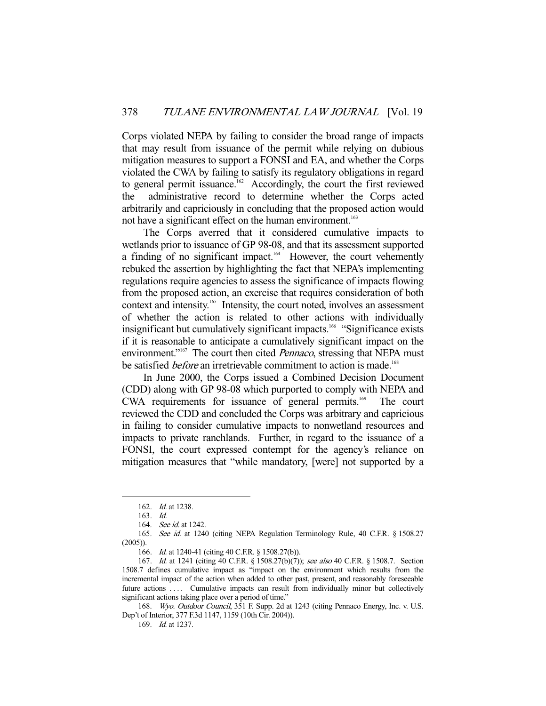Corps violated NEPA by failing to consider the broad range of impacts that may result from issuance of the permit while relying on dubious mitigation measures to support a FONSI and EA, and whether the Corps violated the CWA by failing to satisfy its regulatory obligations in regard to general permit issuance.<sup>162</sup> Accordingly, the court the first reviewed the administrative record to determine whether the Corps acted arbitrarily and capriciously in concluding that the proposed action would not have a significant effect on the human environment.<sup>163</sup>

 The Corps averred that it considered cumulative impacts to wetlands prior to issuance of GP 98-08, and that its assessment supported a finding of no significant impact.<sup>164</sup> However, the court vehemently rebuked the assertion by highlighting the fact that NEPA's implementing regulations require agencies to assess the significance of impacts flowing from the proposed action, an exercise that requires consideration of both context and intensity.<sup>165</sup> Intensity, the court noted, involves an assessment of whether the action is related to other actions with individually insignificant but cumulatively significant impacts.<sup>166</sup> "Significance exists" if it is reasonable to anticipate a cumulatively significant impact on the environment."<sup>167</sup> The court then cited *Pennaco*, stressing that NEPA must be satisfied *before* an irretrievable commitment to action is made.<sup>168</sup>

 In June 2000, the Corps issued a Combined Decision Document (CDD) along with GP 98-08 which purported to comply with NEPA and CWA requirements for issuance of general permits.<sup>169</sup> The court reviewed the CDD and concluded the Corps was arbitrary and capricious in failing to consider cumulative impacts to nonwetland resources and impacts to private ranchlands. Further, in regard to the issuance of a FONSI, the court expressed contempt for the agency's reliance on mitigation measures that "while mandatory, [were] not supported by a

-

168. Wyo. Outdoor Council, 351 F. Supp. 2d at 1243 (citing Pennaco Energy, Inc. v. U.S. Dep't of Interior, 377 F.3d 1147, 1159 (10th Cir. 2004)).

 <sup>162.</sup> Id. at 1238.

 <sup>163.</sup> Id.

<sup>164.</sup> See id. at 1242.

<sup>165.</sup> See id. at 1240 (citing NEPA Regulation Terminology Rule, 40 C.F.R. § 1508.27 (2005)).

<sup>166.</sup> *Id.* at 1240-41 (citing 40 C.F.R. § 1508.27(b)).

<sup>167.</sup> Id. at 1241 (citing 40 C.F.R. § 1508.27(b)(7)); see also 40 C.F.R. § 1508.7. Section 1508.7 defines cumulative impact as "impact on the environment which results from the incremental impact of the action when added to other past, present, and reasonably foreseeable future actions .... Cumulative impacts can result from individually minor but collectively significant actions taking place over a period of time."

 <sup>169.</sup> Id. at 1237.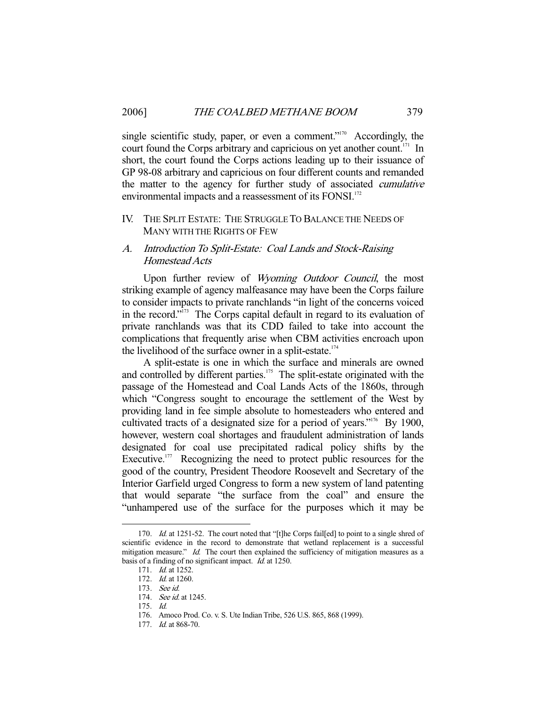single scientific study, paper, or even a comment."<sup>170</sup> Accordingly, the court found the Corps arbitrary and capricious on yet another count.<sup>171</sup> In short, the court found the Corps actions leading up to their issuance of GP 98-08 arbitrary and capricious on four different counts and remanded the matter to the agency for further study of associated cumulative environmental impacts and a reassessment of its FONSI.<sup>172</sup>

## IV. THE SPLIT ESTATE: THE STRUGGLE TO BALANCE THE NEEDS OF MANY WITH THE RIGHTS OF FEW

## A. Introduction To Split-Estate: Coal Lands and Stock-Raising Homestead Acts

Upon further review of Wyoming Outdoor Council, the most striking example of agency malfeasance may have been the Corps failure to consider impacts to private ranchlands "in light of the concerns voiced in the record."173 The Corps capital default in regard to its evaluation of private ranchlands was that its CDD failed to take into account the complications that frequently arise when CBM activities encroach upon the livelihood of the surface owner in a split-estate.<sup>174</sup>

 A split-estate is one in which the surface and minerals are owned and controlled by different parties.<sup>175</sup> The split-estate originated with the passage of the Homestead and Coal Lands Acts of the 1860s, through which "Congress sought to encourage the settlement of the West by providing land in fee simple absolute to homesteaders who entered and cultivated tracts of a designated size for a period of years."<sup>176</sup> By 1900, however, western coal shortages and fraudulent administration of lands designated for coal use precipitated radical policy shifts by the Executive.<sup>177</sup> Recognizing the need to protect public resources for the good of the country, President Theodore Roosevelt and Secretary of the Interior Garfield urged Congress to form a new system of land patenting that would separate "the surface from the coal" and ensure the "unhampered use of the surface for the purposes which it may be

<sup>170.</sup> *Id.* at 1251-52. The court noted that "[t]he Corps fail[ed] to point to a single shred of scientific evidence in the record to demonstrate that wetland replacement is a successful mitigation measure." Id. The court then explained the sufficiency of mitigation measures as a basis of a finding of no significant impact.  $I\bar{d}$ . at 1250.

<sup>171.</sup> *Id.* at 1252.

 <sup>172.</sup> Id. at 1260.

 <sup>173.</sup> See id.

<sup>174.</sup> See id. at 1245.

 <sup>175.</sup> Id.

 <sup>176.</sup> Amoco Prod. Co. v. S. Ute Indian Tribe, 526 U.S. 865, 868 (1999).

<sup>177.</sup> *Id.* at 868-70.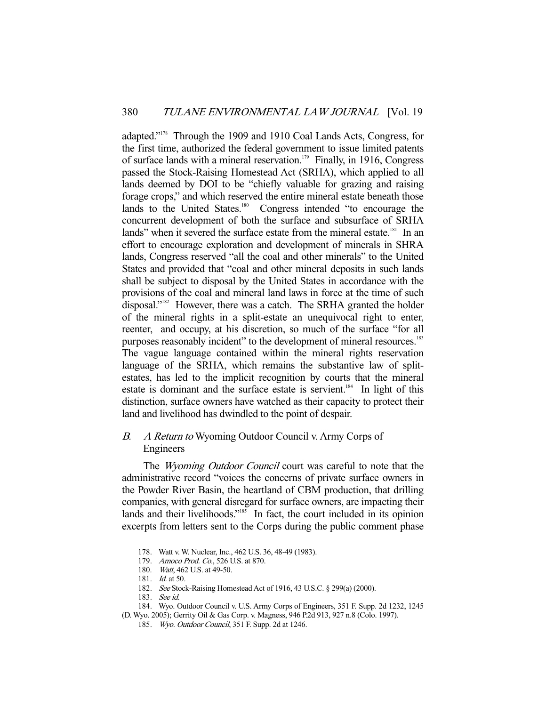adapted."178 Through the 1909 and 1910 Coal Lands Acts, Congress, for the first time, authorized the federal government to issue limited patents of surface lands with a mineral reservation.<sup>179</sup> Finally, in 1916, Congress passed the Stock-Raising Homestead Act (SRHA), which applied to all lands deemed by DOI to be "chiefly valuable for grazing and raising forage crops," and which reserved the entire mineral estate beneath those lands to the United States.<sup>180</sup> Congress intended "to encourage the concurrent development of both the surface and subsurface of SRHA lands" when it severed the surface estate from the mineral estate.<sup>181</sup> In an effort to encourage exploration and development of minerals in SHRA lands, Congress reserved "all the coal and other minerals" to the United States and provided that "coal and other mineral deposits in such lands shall be subject to disposal by the United States in accordance with the provisions of the coal and mineral land laws in force at the time of such disposal."<sup>182</sup> However, there was a catch. The SRHA granted the holder of the mineral rights in a split-estate an unequivocal right to enter, reenter, and occupy, at his discretion, so much of the surface "for all purposes reasonably incident" to the development of mineral resources.<sup>183</sup> The vague language contained within the mineral rights reservation language of the SRHA, which remains the substantive law of splitestates, has led to the implicit recognition by courts that the mineral estate is dominant and the surface estate is servient.<sup>184</sup> In light of this distinction, surface owners have watched as their capacity to protect their land and livelihood has dwindled to the point of despair.

# B. A Return to Wyoming Outdoor Council v. Army Corps of Engineers

The Wyoming Outdoor Council court was careful to note that the administrative record "voices the concerns of private surface owners in the Powder River Basin, the heartland of CBM production, that drilling companies, with general disregard for surface owners, are impacting their lands and their livelihoods."<sup>185</sup> In fact, the court included in its opinion excerpts from letters sent to the Corps during the public comment phase

 <sup>178.</sup> Watt v. W. Nuclear, Inc., 462 U.S. 36, 48-49 (1983).

<sup>179.</sup> Amoco Prod. Co., 526 U.S. at 870.

 <sup>180.</sup> Watt, 462 U.S. at 49-50.

 <sup>181.</sup> Id. at 50.

<sup>182.</sup> See Stock-Raising Homestead Act of 1916, 43 U.S.C. § 299(a) (2000).

 <sup>183.</sup> See id.

 <sup>184.</sup> Wyo. Outdoor Council v. U.S. Army Corps of Engineers, 351 F. Supp. 2d 1232, 1245

<sup>(</sup>D. Wyo. 2005); Gerrity Oil & Gas Corp. v. Magness, 946 P.2d 913, 927 n.8 (Colo. 1997).

 <sup>185.</sup> Wyo. Outdoor Council, 351 F. Supp. 2d at 1246.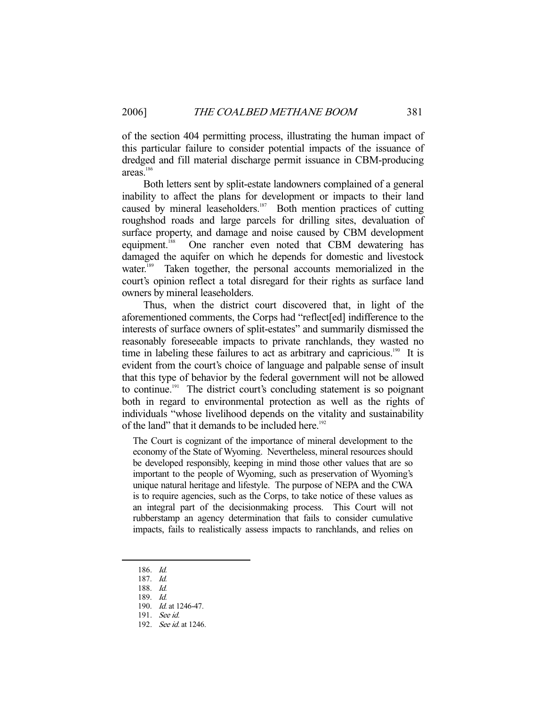of the section 404 permitting process, illustrating the human impact of this particular failure to consider potential impacts of the issuance of dredged and fill material discharge permit issuance in CBM-producing areas.<sup>186</sup>

 Both letters sent by split-estate landowners complained of a general inability to affect the plans for development or impacts to their land caused by mineral leaseholders.<sup>187</sup> Both mention practices of cutting roughshod roads and large parcels for drilling sites, devaluation of surface property, and damage and noise caused by CBM development equipment.<sup>188</sup> One rancher even noted that CBM dewatering has damaged the aquifer on which he depends for domestic and livestock water.<sup>189</sup> Taken together, the personal accounts memorialized in the court's opinion reflect a total disregard for their rights as surface land owners by mineral leaseholders.

 Thus, when the district court discovered that, in light of the aforementioned comments, the Corps had "reflect[ed] indifference to the interests of surface owners of split-estates" and summarily dismissed the reasonably foreseeable impacts to private ranchlands, they wasted no time in labeling these failures to act as arbitrary and capricious.<sup>190</sup> It is evident from the court's choice of language and palpable sense of insult that this type of behavior by the federal government will not be allowed to continue.<sup>191</sup> The district court's concluding statement is so poignant both in regard to environmental protection as well as the rights of individuals "whose livelihood depends on the vitality and sustainability of the land" that it demands to be included here.<sup>192</sup>

The Court is cognizant of the importance of mineral development to the economy of the State of Wyoming. Nevertheless, mineral resources should be developed responsibly, keeping in mind those other values that are so important to the people of Wyoming, such as preservation of Wyoming's unique natural heritage and lifestyle. The purpose of NEPA and the CWA is to require agencies, such as the Corps, to take notice of these values as an integral part of the decisionmaking process. This Court will not rubberstamp an agency determination that fails to consider cumulative impacts, fails to realistically assess impacts to ranchlands, and relies on

 <sup>186.</sup> Id.

 <sup>187.</sup> Id.

 <sup>188.</sup> Id.

 <sup>189.</sup> Id.

<sup>190.</sup> *Id.* at 1246-47.

 <sup>191.</sup> See id.

<sup>192.</sup> *See id.* at 1246.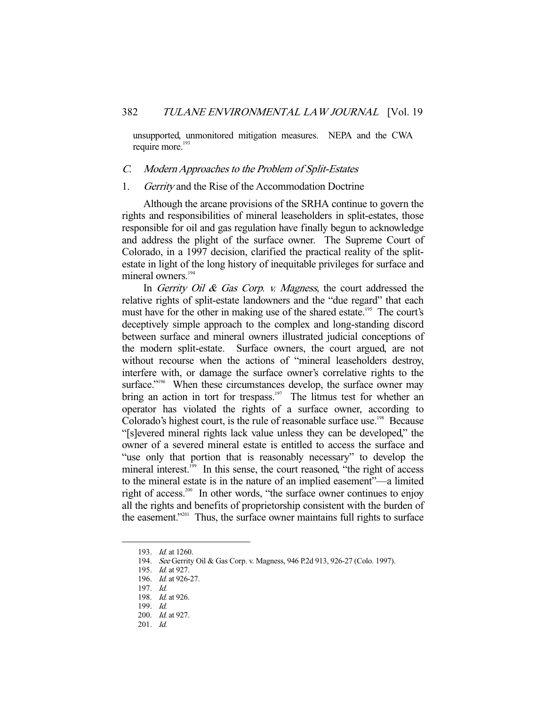unsupported, unmonitored mitigation measures. NEPA and the CWA require more.<sup>193</sup>

#### C. Modern Approaches to the Problem of Split-Estates

#### 1. Gerrity and the Rise of the Accommodation Doctrine

 Although the arcane provisions of the SRHA continue to govern the rights and responsibilities of mineral leaseholders in split-estates, those responsible for oil and gas regulation have finally begun to acknowledge and address the plight of the surface owner. The Supreme Court of Colorado, in a 1997 decision, clarified the practical reality of the splitestate in light of the long history of inequitable privileges for surface and mineral owners.<sup>194</sup>

In Gerrity Oil & Gas Corp. v. Magness, the court addressed the relative rights of split-estate landowners and the "due regard" that each must have for the other in making use of the shared estate.<sup>195</sup> The court's deceptively simple approach to the complex and long-standing discord between surface and mineral owners illustrated judicial conceptions of the modern split-estate. Surface owners, the court argued, are not without recourse when the actions of "mineral leaseholders destroy, interfere with, or damage the surface owner's correlative rights to the surface."<sup>196</sup> When these circumstances develop, the surface owner may bring an action in tort for trespass.<sup>197</sup> The litmus test for whether an operator has violated the rights of a surface owner, according to Colorado's highest court, is the rule of reasonable surface use.<sup>198</sup> Because "[s]evered mineral rights lack value unless they can be developed," the owner of a severed mineral estate is entitled to access the surface and "use only that portion that is reasonably necessary" to develop the mineral interest.<sup>199</sup> In this sense, the court reasoned, "the right of access" to the mineral estate is in the nature of an implied easement"—a limited right of access.<sup>200</sup> In other words, "the surface owner continues to enjoy all the rights and benefits of proprietorship consistent with the burden of the easement."201 Thus, the surface owner maintains full rights to surface

 <sup>193.</sup> Id. at 1260.

 <sup>194.</sup> See Gerrity Oil & Gas Corp. v. Magness, 946 P.2d 913, 926-27 (Colo. 1997).

 <sup>195.</sup> Id. at 927.

 <sup>196.</sup> Id. at 926-27.

 <sup>197.</sup> Id.

<sup>198.</sup> *Id.* at 926.

 <sup>199.</sup> Id.

 <sup>200.</sup> Id. at 927.

 <sup>201.</sup> Id.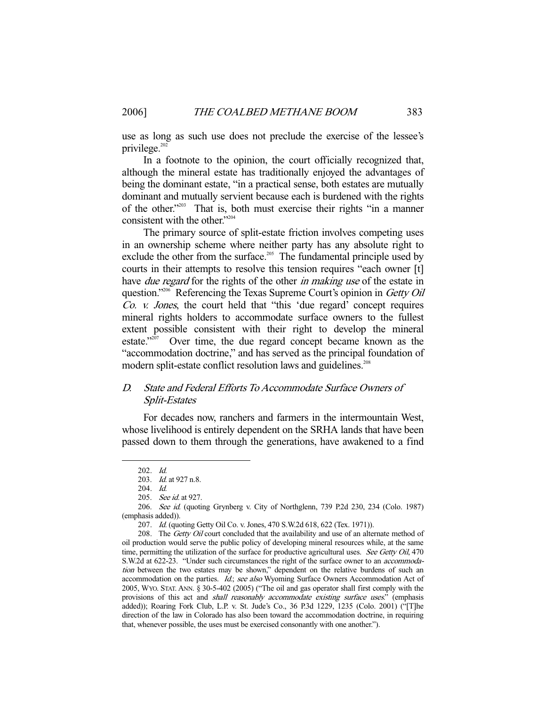use as long as such use does not preclude the exercise of the lessee's privilege.<sup>202</sup>

 In a footnote to the opinion, the court officially recognized that, although the mineral estate has traditionally enjoyed the advantages of being the dominant estate, "in a practical sense, both estates are mutually dominant and mutually servient because each is burdened with the rights of the other."203 That is, both must exercise their rights "in a manner consistent with the other."<sup>204</sup>

 The primary source of split-estate friction involves competing uses in an ownership scheme where neither party has any absolute right to exclude the other from the surface.<sup>205</sup> The fundamental principle used by courts in their attempts to resolve this tension requires "each owner [t] have *due regard* for the rights of the other *in making use* of the estate in question."<sup>206</sup> Referencing the Texas Supreme Court's opinion in Getty Oil Co. v. Jones, the court held that "this 'due regard' concept requires mineral rights holders to accommodate surface owners to the fullest extent possible consistent with their right to develop the mineral estate."207 Over time, the due regard concept became known as the "accommodation doctrine," and has served as the principal foundation of modern split-estate conflict resolution laws and guidelines.<sup>208</sup>

## D. State and Federal Efforts To Accommodate Surface Owners of Split-Estates

 For decades now, ranchers and farmers in the intermountain West, whose livelihood is entirely dependent on the SRHA lands that have been passed down to them through the generations, have awakened to a find

 <sup>202.</sup> Id.

 <sup>203.</sup> Id. at 927 n.8.

 <sup>204.</sup> Id.

<sup>205.</sup> See id. at 927.

 <sup>206.</sup> See id. (quoting Grynberg v. City of Northglenn, 739 P.2d 230, 234 (Colo. 1987) (emphasis added)).

<sup>207.</sup> Id. (quoting Getty Oil Co. v. Jones, 470 S.W.2d 618, 622 (Tex. 1971)).

<sup>208.</sup> The Getty Oil court concluded that the availability and use of an alternate method of oil production would serve the public policy of developing mineral resources while, at the same time, permitting the utilization of the surface for productive agricultural uses. See Getty Oil, 470 S.W.2d at 622-23. "Under such circumstances the right of the surface owner to an accommodation between the two estates may be shown," dependent on the relative burdens of such an accommodation on the parties. Id.; see also Wyoming Surface Owners Accommodation Act of 2005, WYO. STAT. ANN. § 30-5-402 (2005) ("The oil and gas operator shall first comply with the provisions of this act and shall reasonably accommodate existing surface uses." (emphasis added)); Roaring Fork Club, L.P. v. St. Jude's Co., 36 P.3d 1229, 1235 (Colo. 2001) ("[T]he direction of the law in Colorado has also been toward the accommodation doctrine, in requiring that, whenever possible, the uses must be exercised consonantly with one another.").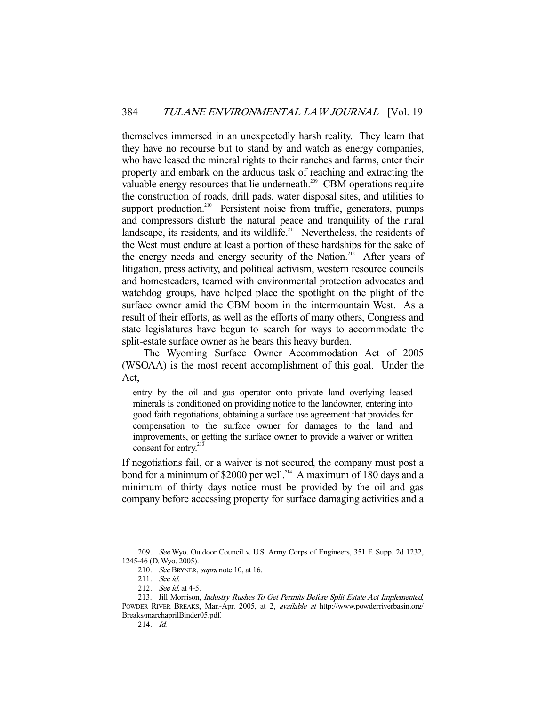themselves immersed in an unexpectedly harsh reality. They learn that they have no recourse but to stand by and watch as energy companies, who have leased the mineral rights to their ranches and farms, enter their property and embark on the arduous task of reaching and extracting the valuable energy resources that lie underneath.<sup>209</sup> CBM operations require the construction of roads, drill pads, water disposal sites, and utilities to support production.<sup>210</sup> Persistent noise from traffic, generators, pumps and compressors disturb the natural peace and tranquility of the rural landscape, its residents, and its wildlife. $211$  Nevertheless, the residents of the West must endure at least a portion of these hardships for the sake of the energy needs and energy security of the Nation.<sup>212</sup> After years of litigation, press activity, and political activism, western resource councils and homesteaders, teamed with environmental protection advocates and watchdog groups, have helped place the spotlight on the plight of the surface owner amid the CBM boom in the intermountain West. As a result of their efforts, as well as the efforts of many others, Congress and state legislatures have begun to search for ways to accommodate the split-estate surface owner as he bears this heavy burden.

 The Wyoming Surface Owner Accommodation Act of 2005 (WSOAA) is the most recent accomplishment of this goal. Under the Act,

entry by the oil and gas operator onto private land overlying leased minerals is conditioned on providing notice to the landowner, entering into good faith negotiations, obtaining a surface use agreement that provides for compensation to the surface owner for damages to the land and improvements, or getting the surface owner to provide a waiver or written consent for entry.<sup>21</sup>

If negotiations fail, or a waiver is not secured, the company must post a bond for a minimum of \$2000 per well.<sup>214</sup> A maximum of 180 days and a minimum of thirty days notice must be provided by the oil and gas company before accessing property for surface damaging activities and a

 <sup>209.</sup> See Wyo. Outdoor Council v. U.S. Army Corps of Engineers, 351 F. Supp. 2d 1232, 1245-46 (D. Wyo. 2005).

<sup>210.</sup> See BRYNER, supra note 10, at 16.

 <sup>211.</sup> See id.

<sup>212.</sup> *See id.* at 4-5.

<sup>213.</sup> Jill Morrison, Industry Rushes To Get Permits Before Split Estate Act Implemented, POWDER RIVER BREAKS, Mar.-Apr. 2005, at 2, *available at http://www.powderriverbasin.org/* Breaks/marchaprilBinder05.pdf.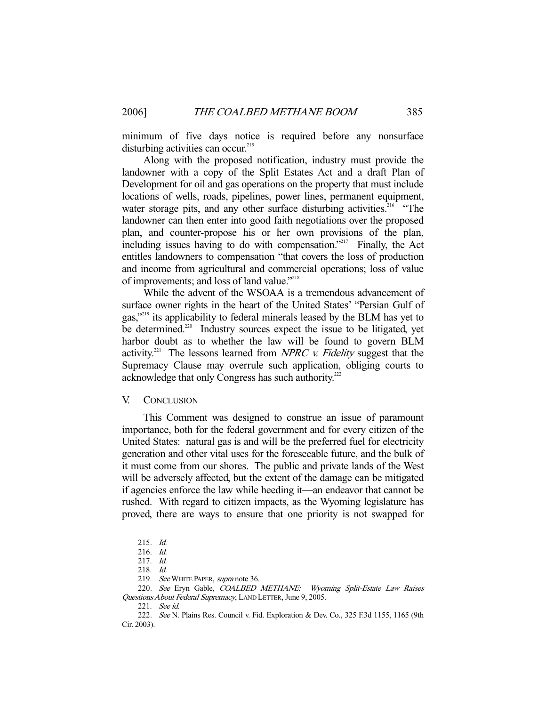minimum of five days notice is required before any nonsurface disturbing activities can occur.<sup>215</sup>

 Along with the proposed notification, industry must provide the landowner with a copy of the Split Estates Act and a draft Plan of Development for oil and gas operations on the property that must include locations of wells, roads, pipelines, power lines, permanent equipment, water storage pits, and any other surface disturbing activities.<sup>216</sup> "The landowner can then enter into good faith negotiations over the proposed plan, and counter-propose his or her own provisions of the plan, including issues having to do with compensation."217 Finally, the Act entitles landowners to compensation "that covers the loss of production and income from agricultural and commercial operations; loss of value of improvements; and loss of land value."218

 While the advent of the WSOAA is a tremendous advancement of surface owner rights in the heart of the United States' "Persian Gulf of gas,"219 its applicability to federal minerals leased by the BLM has yet to be determined.<sup>220</sup> Industry sources expect the issue to be litigated, yet harbor doubt as to whether the law will be found to govern BLM activity.<sup>221</sup> The lessons learned from NPRC v. Fidelity suggest that the Supremacy Clause may overrule such application, obliging courts to acknowledge that only Congress has such authority.<sup>222</sup>

#### V. CONCLUSION

 This Comment was designed to construe an issue of paramount importance, both for the federal government and for every citizen of the United States: natural gas is and will be the preferred fuel for electricity generation and other vital uses for the foreseeable future, and the bulk of it must come from our shores. The public and private lands of the West will be adversely affected, but the extent of the damage can be mitigated if agencies enforce the law while heeding it—an endeavor that cannot be rushed. With regard to citizen impacts, as the Wyoming legislature has proved, there are ways to ensure that one priority is not swapped for

 <sup>215.</sup> Id.

 <sup>216.</sup> Id.

 <sup>217.</sup> Id.

 <sup>218.</sup> Id.

<sup>219.</sup> See WHITE PAPER, supra note 36.

<sup>220.</sup> See Eryn Gable, COALBED METHANE: Wyoming Split-Estate Law Raises Questions About Federal Supremacy, LAND LETTER, June 9, 2005.

 <sup>221.</sup> See id.

 <sup>222.</sup> See N. Plains Res. Council v. Fid. Exploration & Dev. Co., 325 F.3d 1155, 1165 (9th Cir. 2003).